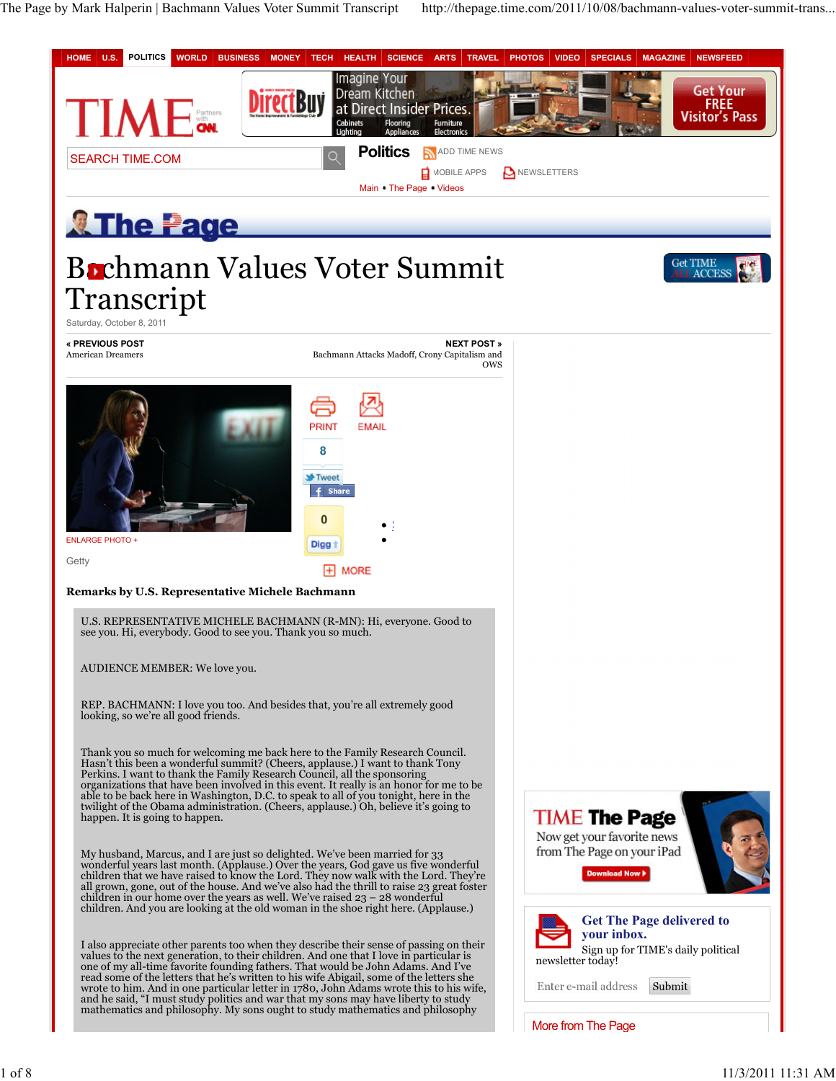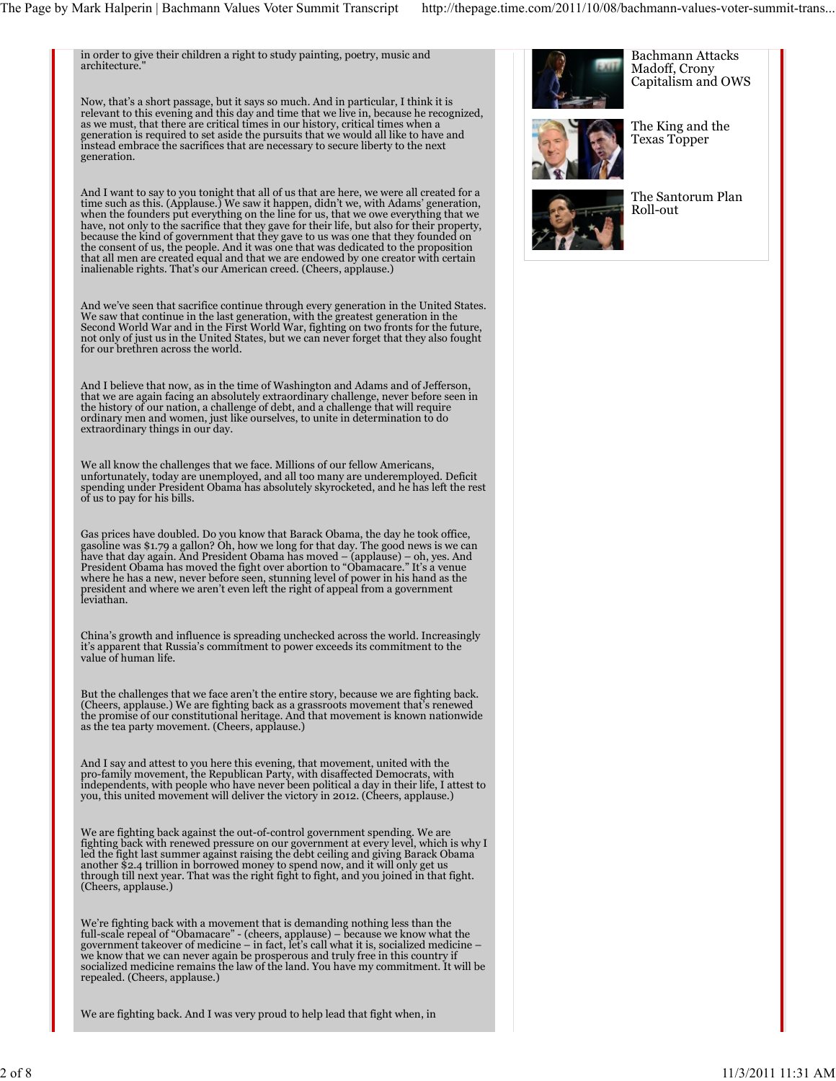in order to give their children a right to study painting, poetry, music and architecture."

Now, that's a short passage, but it says so much. And in particular, I think it is relevant to this evening and this day and time that we live in, because he recognized, as we must, that there are critical times in our history, critical times when a generation is required to set aside the pursuits that we would all like to have and instead embrace the sacrifices that are necessary to secure liberty to the next generation.

And I want to say to you tonight that all of us that are here, we were all created for a time such as this. (Applause.) We saw it happen, didn't we, with Adams' generation, when the founders put everything on the line for us, that we owe everything that we have, not only to the sacrifice that they gave for their life, but also for their property, because the kind of government that they gave to us was one that they founded on the consent of us, the people. And it was one that was dedicated to the proposition that all men are created equal and that we are endowed by one creator with certain inalienable rights. That's our American creed. (Cheers, applause.)

And we've seen that sacrifice continue through every generation in the United States.<br>We saw that continue in the last generation, with the greatest generation in the<br>Second World War and in the First World War, fighting o not only of just us in the United States, but we can never forget that they also fought for our brethren across the world.

And I believe that now, as in the time of Washington and Adams and of Jefferson, that we are again facing an absolutely extraordinary challenge, never before seen in the history of our nation, a challenge of debt, and a challenge that will require ordinary men and women, just like ourselves, to unite in determination to do extraordinary things in our day.

We all know the challenges that we face. Millions of our fellow Americans, unfortunately, today are unemployed, and all too many are underemployed. Deficit spending under President Obama has absolutely skyrocketed, and he has left the rest of us to pay for his bills.

Gas prices have doubled. Do you know that Barack Obama, the day he took office, gasoline was \$1.79 a gallon? Oh, how we long for that day. The good news is we can<br>have that day again. And President Obama has moved – (applause) – oh, yes. And<br>President Obama has moved the fight over abortion to "Obamac where he has a new, never before seen, stunning level of power in his hand as the president and where we aren't even left the right of appeal from a government leviathan.

China's growth and influence is spreading unchecked across the world. Increasingly it's apparent that Russia's commitment to power exceeds its commitment to the value of human life.

But the challenges that we face aren't the entire story, because we are fighting back. (Cheers, applause.) We are fighting back as a grassroots movement that's renewed the promise of our constitutional heritage. And that movement is known nationwide as the tea party movement. (Cheers, applause.)

And I say and attest to you here this evening, that movement, united with the<br>pro-family movement, the Republican Party, with disaffected Democrats, with<br>independents, with people who have never been political a day in the

We are fighting back against the out-of-control government spending. We are<br>fighting back with renewed pressure on our government at every level, which is why I<br>led the fight last summer against raising the debt ceiling an another \$2.4 trillion in borrowed money to spend now, and it will only get us through till next year. That was the right fight to fight, and you joined in that fight. (Cheers, applause.)

We're fighting back with a movement that is demanding nothing less than the<br>full-scale repeal of "Obamacare" - (cheers, applause) – because we know what the<br>government takeover of medicine – in fact, let's call what it is, we know that we can never again be prosperous and truly free in this country if socialized medicine remains the law of the land. You have my commitment. It will be repealed. (Cheers, applause.)

We are fighting back. And I was very proud to help lead that fight when, in





The King and the Texas Topper

Bachmann Attacks



The Santorum Plan Roll-out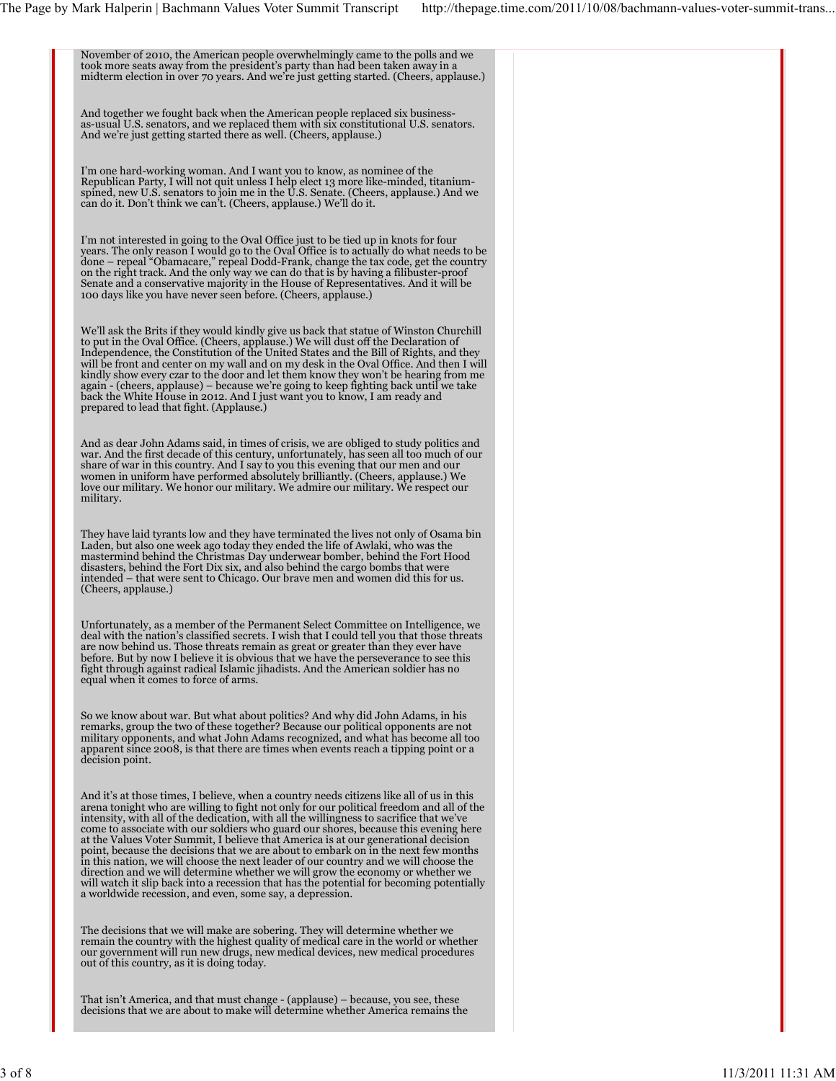November of 2010, the American people overwhelmingly came to the polls and we took more seats away from the president's party than had been taken away in a midterm election in over 70 years. And we're just getting started. (Cheers, applause.) And together we fought back when the American people replaced six businessas-usual U.S. senators, and we replaced them with six constitutional U.S. senators. And we're just getting started there as well. (Cheers, applause.) I'm one hard-working woman. And I want you to know, as nominee of the Republican Party, I will not quit unless I help elect 13 more like-minded, titanium-spined, new U.S. senators to join me in the U.S. Senate. (Cheers, applause.) And we can do it. Don't think we can't. (Cheers, applause.) We'll do it. I'm not interested in going to the Oval Office just to be tied up in knots for four years. The only reason I would go to the Oval Office is to actually do what needs to be<br>done – repeal "Obamacare," repeal Dodd-Frank, change the tax code, get the country<br>on the right track. And the only way we can do that Senate and a conservative majority in the House of Representatives. And it will be 100 days like you have never seen before. (Cheers, applause.) We'll ask the Brits if they would kindly give us back that statue of Winston Churchill to put in the Oval Office. (Cheers, applause.) We will dust off the Declaration of Independence, the Constitution of the United States and the Bill of Rights, and they will be front and center on my wall and on my desk in the Oval Office. And then I will kindly show every czar to the door and let them know they won't be hearing from me<br>again - (cheers, applause) – because we're going to keep fighting back until we take<br>back the White House in 2012. And I just want you to k prepared to lead that fight. (Applause.) And as dear John Adams said, in times of crisis, we are obliged to study politics and<br>war. And the first decade of this century, unfortunately, has seen all too much of our<br>share of war in this country. And I say to you th women in uniform have performed absolutely brilliantly. (Cheers, applause.) We love our military. We honor our military. We admire our military. We respect our military. They have laid tyrants low and they have terminated the lives not only of Osama bin Laden, but also one week ago today they ended the life of Awlaki, who was the<br>mastermind behind the Christmas Day underwear bomber, behind the Fort Hood<br>disasters, behind the Fort Dix six, and also behind the cargo bombs t (Cheers, applause.) Unfortunately, as a member of the Permanent Select Committee on Intelligence, we deal with the nation's classified secrets. I wish that I could tell you that those threats are now behind us. Those threats remain as great or greater than they ever have before. But by now I believe it is obvious that we have the perseverance to see this fight through against radical Islamic jihadists. And the American soldier has no equal when it comes to force of arms. So we know about war. But what about politics? And why did John Adams, in his remarks, group the two of these together? Because our political opponents are not military opponents, and what John Adams recognized, and what has become all too apparent since 2008, is that there are times when events reach a tipping point or a decision point. And it's at those times, I believe, when a country needs citizens like all of us in this arena tonight who are willing to fight not only for our political freedom and all of the<br>intensity, with all of the dedication, with all the willingness to sacrifice that we've<br>come to associate with our soldiers who guard point, because the decisions that we are about to embark on in the next few months in this nation, we will choose the next leader of our country and we will choose the<br>direction and we will determine whether we will grow the economy or whether we<br>will watch it slip back into a recession that has the pote a worldwide recession, and even, some say, a depression. The decisions that we will make are sobering. They will determine whether we<br>remain the country with the highest quality of medical care in the world or whether<br>our government will run new drugs, new medical devices, new m out of this country, as it is doing today.

That isn't America, and that must change - (applause) – because, you see, these decisions that we are about to make will determine whether America remains the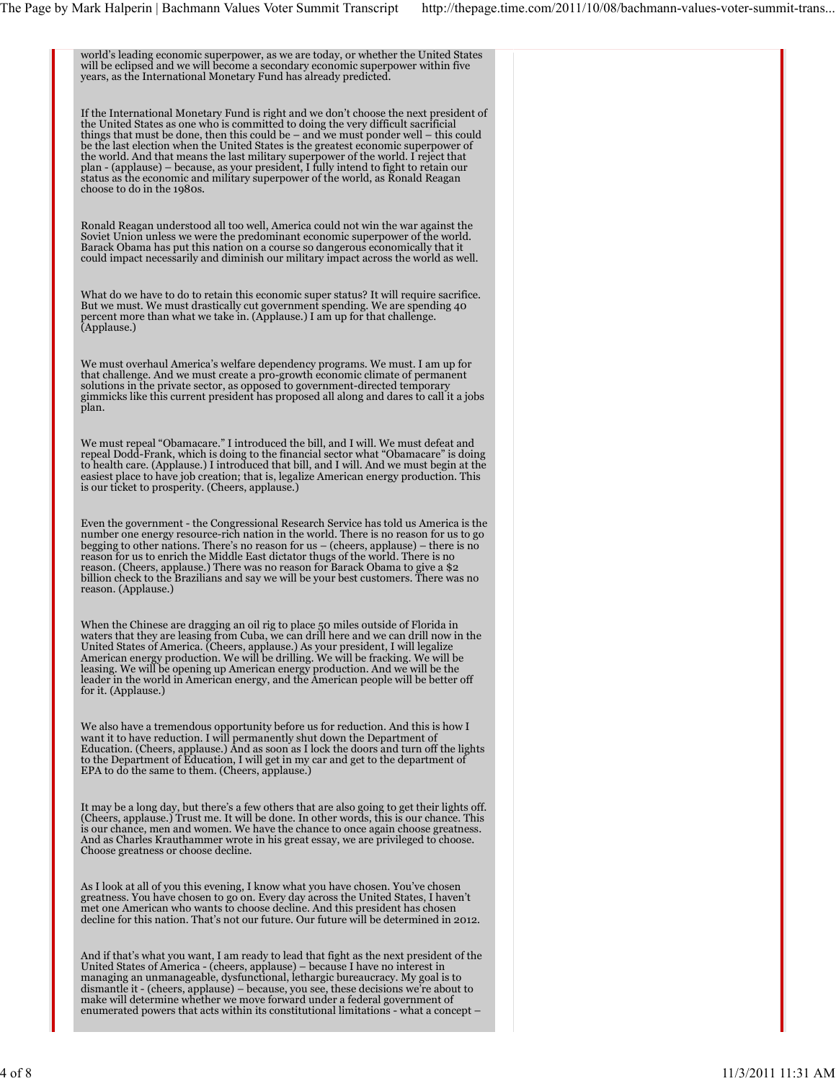world's leading economic superpower, as we are today, or whether the United States will be eclipsed and we will become a secondary economic superpower within five years, as the International Monetary Fund has already predicted.

If the International Monetary Fund is right and we don't choose the next president of the United States as one who is committed to doing the very difficult sacrificial things that must be done, then this could be – and we must ponder well – this could be the last election when the United States is the greatest economic superpower of<br>the world. And that means the last military superpower of the world. I reject that<br>plan - (applause) – because, as your president, I fully status as the economic and military superpower of the world, as Ronald Reagan choose to do in the 1980s.

Ronald Reagan understood all too well, America could not win the war against the Soviet Union unless we were the predominant economic superpower of the world. Barack Obama has put this nation on a course so dangerous economically that it could impact necessarily and diminish our military impact across the world as well.

What do we have to do to retain this economic super status? It will require sacrifice. But we must. We must drastically cut government spending. We are spending 40 percent more than what we take in. (Applause.) I am up for that challenge. (Applause.)

We must overhaul America's welfare dependency programs. We must. I am up for<br>that challenge. And we must create a pro-growth economic climate of permanent<br>solutions in the private sector, as opposed to government-directed plan.

We must repeal "Obamacare." I introduced the bill, and I will. We must defeat and<br>repeal Dodd-Frank, which is doing to the financial sector what "Obamacare" is doing<br>to health care. (Applause.) I introduced that bill, and easiest place to have job creation; that is, legalize American energy production. This is our ticket to prosperity. (Cheers, applause.)

Even the government - the Congressional Research Service has told us America is the number one energy resource-rich nation in the world. There is no reason for us to go begging to other nations. There's no reason for us – (cheers, applause) – there is no<br>reason for us to enrich the Middle East dictator thugs of the world. There is no<br>reason. (Cheers, applause.) There was no reason for Bar reason. (Applause.)

When the Chinese are dragging an oil rig to place 50 miles outside of Florida in<br>waters that they are leasing from Cuba, we can drill here and we can drill now in the<br>United States of America. (Cheers, applause.) As your p American energy production. We will be drilling. We will be fracking. We will be<br>leasing. We will be opening up American energy production. And we will be the<br>leader in the world in American energy, and the American people

We also have a tremendous opportunity before us for reduction. And this is how I want it to have reduction. I will permanently shut down the Department of<br>Education. (Cheers, applause.) And as soon as I lock the doors and turn off the lights<br>to the Department of Education, I will get in my car and get

It may be a long day, but there's a few others that are also going to get their lights off.<br>(Cheers, applause.) Trust me. It will be done. In other words, this is our chance. This<br>is our chance, men and women. We have the And as Charles Krauthammer wrote in his great essay, we are privileged to choose. Choose greatness or choose decline.

As I look at all of you this evening, I know what you have chosen. You've chosen greatness. You have chosen to go on. Every day across the United States, I haven't met one American who wants to choose decline. And this president has chosen decline for this nation. That's not our future. Our future will be determined in 2012.

And if that's what you want, I am ready to lead that fight as the next president of the<br>United States of America - (cheers, applause) – because I have no interest in<br>managing an unmanageable, dysfunctional, lethargic burea dismantle it - (cheers, applause) – because, you see, these decisions we're about to make will determine whether we move forward under a federal government of enumerated powers that acts within its constitutional limitations - what a concept –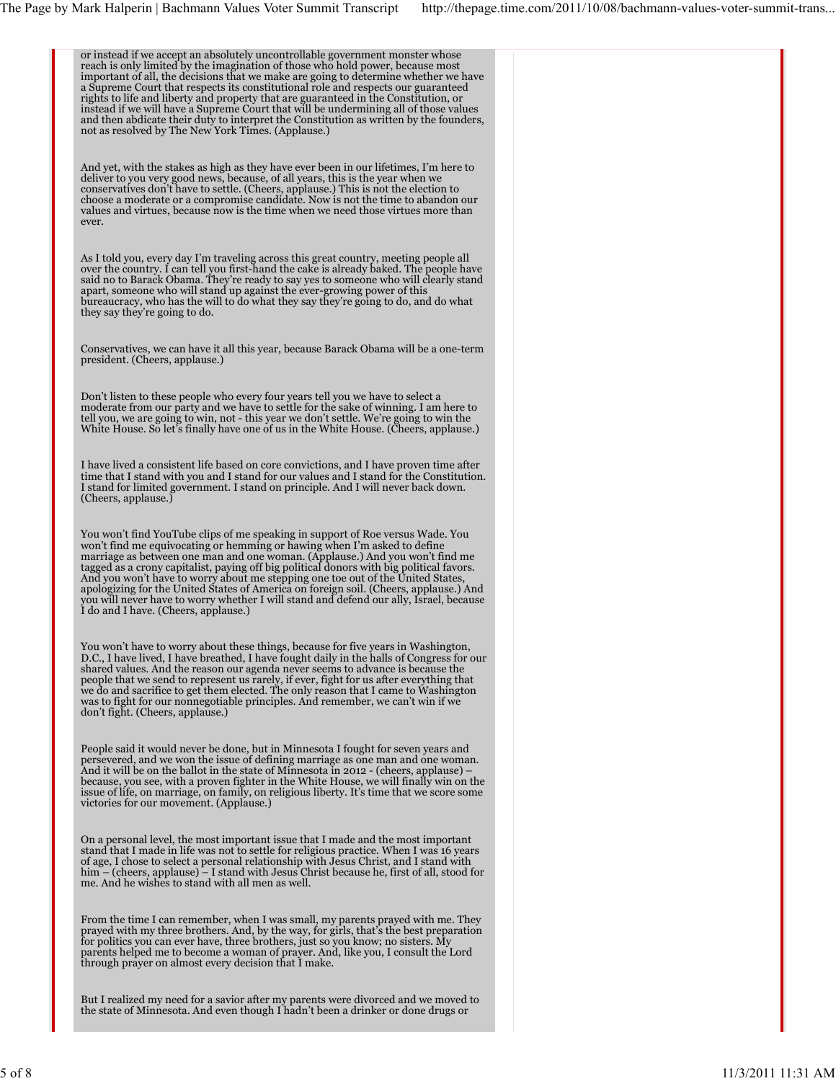| or instead if we accept an absolutely uncontrollable government monster whose<br>reach is only limited by the imagination of those who hold power, because most<br>important of all, the decisions that we make are going to determine whether we have<br>a Supreme Court that respects its constitutional role and respects our guaranteed<br>rights to life and liberty and property that are guaranteed in the Constitution, or<br>instead if we will have a Supreme Court that will be undermining all of those values<br>and then abdicate their duty to interpret the Constitution as written by the founders,<br>not as resolved by The New York Times. (Applause.) |  |
|----------------------------------------------------------------------------------------------------------------------------------------------------------------------------------------------------------------------------------------------------------------------------------------------------------------------------------------------------------------------------------------------------------------------------------------------------------------------------------------------------------------------------------------------------------------------------------------------------------------------------------------------------------------------------|--|
| And yet, with the stakes as high as they have ever been in our lifetimes, I'm here to<br>deliver to you very good news, because, of all years, this is the year when we<br>conservatives don't have to settle. (Cheers, applause.) This is not the election to<br>choose a moderate or a compromise candidate. Now is not the time to abandon our<br>values and virtues, because now is the time when we need those virtues more than<br>ever.                                                                                                                                                                                                                             |  |
| As I told you, every day I'm traveling across this great country, meeting people all<br>over the country. I can tell you first-hand the cake is already baked. The people have<br>said no to Barack Obama. They're ready to say yes to someone who will clearly stand<br>apart, someone who will stand up against the ever-growing power of this<br>bureaucracy, who has the will to do what they say they're going to do, and do what<br>they say they're going to do.                                                                                                                                                                                                    |  |
| Conservatives, we can have it all this year, because Barack Obama will be a one-term<br>president. (Cheers, applause.)                                                                                                                                                                                                                                                                                                                                                                                                                                                                                                                                                     |  |
| Don't listen to these people who every four years tell you we have to select a<br>moderate from our party and we have to settle for the sake of winning. I am here to<br>tell you, we are going to win, not - this year we don't settle. We're going to win the<br>White House. So let's finally have one of us in the White House. (Cheers, applause.)                                                                                                                                                                                                                                                                                                                    |  |
| I have lived a consistent life based on core convictions, and I have proven time after<br>time that I stand with you and I stand for our values and I stand for the Constitution.<br>I stand for limited government. I stand on principle. And I will never back down.<br>(Cheers, applause.)                                                                                                                                                                                                                                                                                                                                                                              |  |
| You won't find YouTube clips of me speaking in support of Roe versus Wade. You<br>won't find me equivocating or hemming or hawing when I'm asked to define<br>marriage as between one man and one woman. (Applause.) And you won't find me<br>tagged as a crony capitalist, paying off big political donors with big political favors.<br>And you won't have to worry about me stepping one toe out of the United States,<br>apologizing for the United States of America on foreign soil. (Cheers, applause.) And<br>you will never have to worry whether I will stand and defend our ally, Israel, because<br>I do and I have. (Cheers, applause.)                       |  |
| You won't have to worry about these things, because for five years in Washington,<br>D.C., I have lived, I have breathed, I have fought daily in the halls of Congress for our<br>shared values. And the reason our agenda never seems to advance is because the<br>people that we send to represent us rarely, if ever, fight for us after everything that<br>we do and sacrifice to get them elected. The only reason that I came to Washington<br>was to fight for our nonnegotiable principles. And remember, we can't win if we<br>don't fight. (Cheers, applause.)                                                                                                   |  |
| People said it would never be done, but in Minnesota I fought for seven years and<br>persevered, and we won the issue of defining marriage as one man and one woman.<br>And it will be on the ballot in the state of Minnesota in 2012 - (cheers, applause) –<br>because, you see, with a proven fighter in the White House, we will finally win on the<br>issue of life, on marriage, on family, on religious liberty. It's time that we score some<br>victories for our movement. (Applause.)                                                                                                                                                                            |  |
| On a personal level, the most important issue that I made and the most important<br>stand that I made in life was not to settle for religious practice. When I was 16 years<br>of age, I chose to select a personal relationship with Jesus Christ, and I stand with<br>him – (cheers, applause) – I stand with Jesus Christ because he, first of all, stood for<br>me. And he wishes to stand with all men as well.                                                                                                                                                                                                                                                       |  |
| From the time I can remember, when I was small, my parents prayed with me. They<br>prayed with my three brothers. And, by the way, for girls, that's the best preparation<br>for politics you can ever have, three brothers, just so you know; no sisters. My<br>parents helped me to become a woman of prayer. And, like you, I consult the Lord<br>through prayer on almost every decision that I make.                                                                                                                                                                                                                                                                  |  |
| But I realized my need for a savior after my parents were divorced and we moved to<br>the state of Minnesota. And even though I hadn't been a drinker or done drugs or                                                                                                                                                                                                                                                                                                                                                                                                                                                                                                     |  |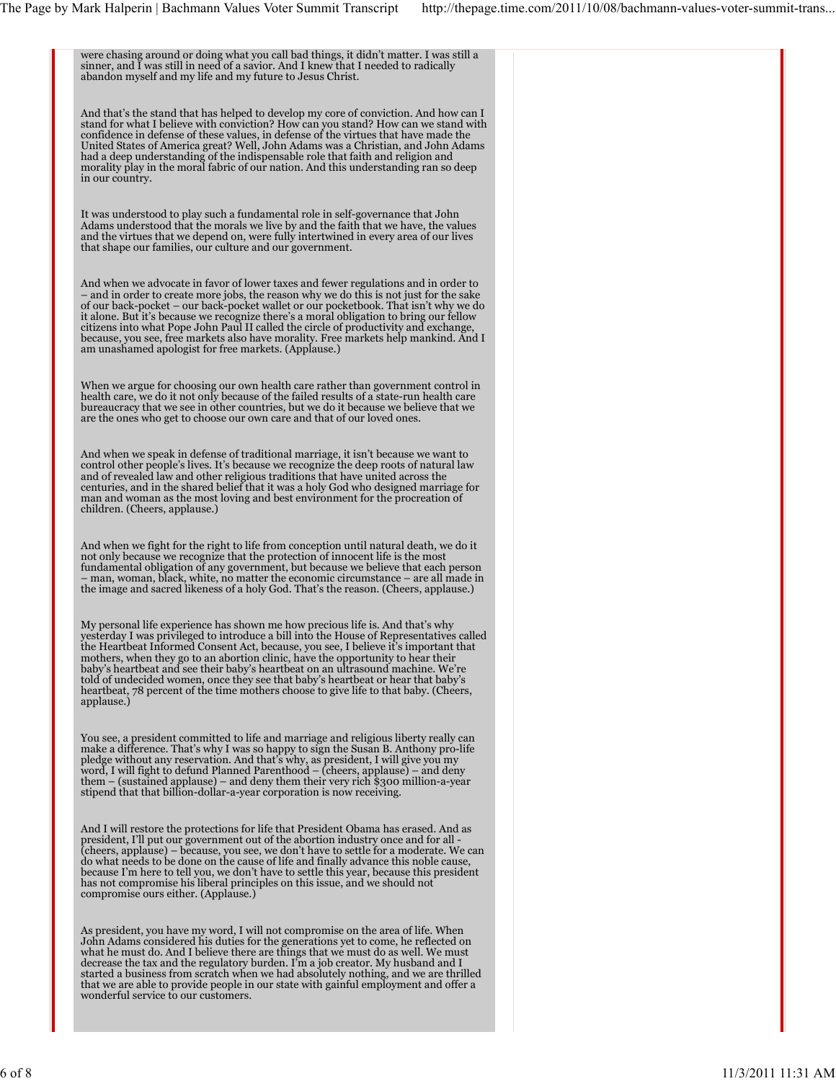were chasing around or doing what you call bad things, it didn't matter. I was still a sinner, and I was still in need of a savior. And I knew that I needed to radically abandon myself and my life and my future to Jesus Christ. And that's the stand that has helped to develop my core of conviction. And how can I stand for what I believe with conviction? How can you stand? How can we stand with confidence in defense of these values, in defense of the virtues that have made the United States of America great? Well, John Adams was a Christian, and John Adams<br>had a deep understanding of the indispensable role that faith and religion and<br>morality play in the moral fabric of our nation. And this unde in our country. It was understood to play such a fundamental role in self-governance that John Adams understood that the morals we live by and the faith that we have, the values and the virtues that we depend on, were fully intertwined in every area of our lives that shape our families, our culture and our government. And when we advocate in favor of lower taxes and fewer regulations and in order to – and in order to create more jobs, the reason why we do this is not just for the sake of our back-pocket – our back-pocket wallet or our pocketbook. That isn't why we do it alone. But it's because we recognize there's a moral obligation to bring our fellow citizens into what Pope John Paul II called the circle of productivity and exchange, because, you see, free markets also have morality. Free markets help mankind. And I am unashamed apologist for free markets. (Applause.) When we argue for choosing our own health care rather than government control in health care, we do it not only because of the failed results of a state-run health care bureaucracy that we see in other countries, but we do it because we believe that we are the ones who get to choose our own care and that of our loved ones. And when we speak in defense of traditional marriage, it isn't because we want to control other people's lives. It's because we recognize the deep roots of natural law and of revealed law and other religious traditions that have united across the centuries, and in the shared belief that it was a holy God who designed marriage for man and woman as the most loving and best environment for And when we fight for the right to life from conception until natural death, we do it<br>not only because we recognize that the protection of innocent life is the most<br>fundamental obligation of any government, but because we – man, woman, black, white, no matter the economic circumstance – are all made in the image and sacred likeness of a holy God. That's the reason. (Cheers, applause.) My personal life experience has shown me how precious life is. And that's why yesterday I was privileged to introduce a bill into the House of Representatives called the Heartbeat Informed Consent Act, because, you see, I believe it's important that mothers, when they go to an abortion clinic, have the opportunity to hear their baby's heartbeat and see their baby's heartbeat on an ultrasound machine. We're told of undecided women, once they see that baby's heartbeat or hear that baby's heartbeat, 78 percent of the time mothers choose to give life to that baby. (Cheers, applause.) You see, a president committed to life and marriage and religious liberty really can make a difference. That's why I was so happy to sign the Susan B. Anthony pro-life pledge without any reservation. And that's why, as president, I will give you my word, I will fight to defund Planned Parenthood – (cheers, applause) – and deny them – (sustained applause) – and deny them their very rich \$300 million-a-year stipend that that billion-dollar-a-year corporation is now receiving. And I will restore the protections for life that President Obama has erased. And as president, I'll put our government out of the abortion industry once and for all - (cheers, applause) – because, you see, we don't have to settle for a moderate. We can do what needs to be done on the cause of life and finally advance this noble cause, because I'm here to tell you, we don't have to settle this year, because this president has not compromise his liberal principles on this issue, and we should not compromise ours either. (Applause.) As president, you have my word, I will not compromise on the area of life. When<br>John Adams considered his duties for the generations yet to come, he reflected on<br>what he must do. And I believe there are things that we must decrease the tax and the regulatory burden. I'm a job creator. My husband and I<br>started a business from scratch when we had absolutely nothing, and we are thrilled<br>that we are able to provide people in our state with gainf wonderful service to our customers.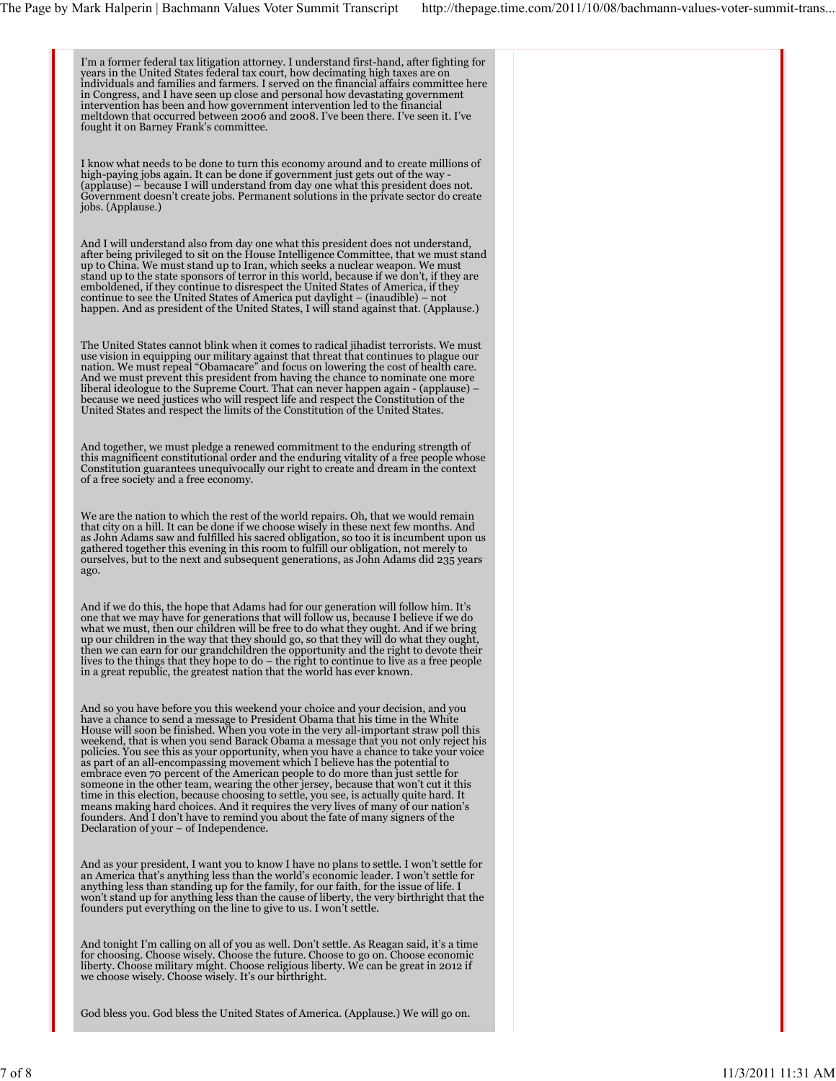I'm a former federal tax litigation attorney. I understand first-hand, after fighting for<br>years in the United States federal tax court, how decimating high taxes are on<br>individuals and families and farmers. I served on the in Congress, and I have seen up close and personal how devastating government<br>intervention has been and how government intervention led to the financial<br>meltdown that occurred between 2006 and 2008. I've been there. I've s I know what needs to be done to turn this economy around and to create millions of high-paying jobs again. It can be done if government just gets out of the way -<br>(applause) – because I will understand from day one what this president does not.<br>Government doesn't create jobs. Permanent solutions in the p jobs. (Applause.) And I will understand also from day one what this president does not understand, after being privileged to sit on the House Intelligence Committee, that we must stand up to China. We must stand up to Iran, which seeks a nuclear weapon. We must stand up to the state sponsors of terror in this world, because if we don't, if they are emboldened, if they continue to disrespect the United States of America, if they continue to see the United States of America put daylight – (inaudible) – not happen. And as president of the United States, I will stand against that. (Applause.) The United States cannot blink when it comes to radical jihadist terrorists. We must use vision in equipping our military against that threat that continues to plague our<br>nation. We must repeal "Obamacare" and focus on lowering the cost of health care.<br>And we must prevent this president from having the cha liberal ideologue to the Supreme Court. That can never happen again - (applause) –<br>because we need justices who will respect life and respect the Constitution of the<br>United States and respect the limits of the Constitution And together, we must pledge a renewed commitment to the enduring strength of this magnificent constitutional order and the enduring vitality of a free people whose Constitution guarantees unequivocally our right to create and dream in the context of a free society and a free economy. We are the nation to which the rest of the world repairs. Oh, that we would remain<br>that city on a hill. It can be done if we choose wisely in these next few months. And as John Adams saw and fulfilled his sacred obligation, so too it is incumbent upon us<br>gathered together this evening in this room to fulfill our obligation, not merely to<br>ourselves, but to the next and subsequent generatio ago. And if we do this, the hope that Adams had for our generation will follow him. It's one that we may have for generations that will follow us, because I believe if we do what we must, then our children will be free to do what they ought. And if we bring up our children in the way that they should go, so that they will do what they ought, then we can earn for our grandchildren the opportunity and the right to devote their<br>lives to the things that they hope to do – the right to continue to live as a free people<br>in a great republic, the greatest nation that t And so you have before you this weekend your choice and your decision, and you have a chance to send a message to President Obama that his time in the White House will soon be finished. When you vote in the very all-important straw poll this weekend, that is when you send Barack Obama a message that you not only reject his policies. You see this as your opportunity, when you have a chance to take your voice as part of an all-encompassing movement which I believe has the potential to embrace even 70 percent of the American people to do more than just settle for<br>someone in the other team, wearing the other jersey, because that won't cut it this<br>time in this election, because choosing to settle, you see, means making hard choices. And it requires the very lives of many of our nation's founders. And I don't have to remind you about the fate of many signers of the Declaration of your – of Independence. And as your president, I want you to know I have no plans to settle. I won't settle for an America that's anything less than the world's economic leader. I won't settle for<br>anything less than standing up for the family, for our faith, for the issue of life. I<br>won't stand up for anything less than the cause of founders put everything on the line to give to us. I won't settle. And tonight I'm calling on all of you as well. Don't settle. As Reagan said, it's a time<br>for choosing. Choose wisely. Choose the future. Choose to go on. Choose economic<br>liberty. Choose military might. Choose religious lib God bless you. God bless the United States of America. (Applause.) We will go on.